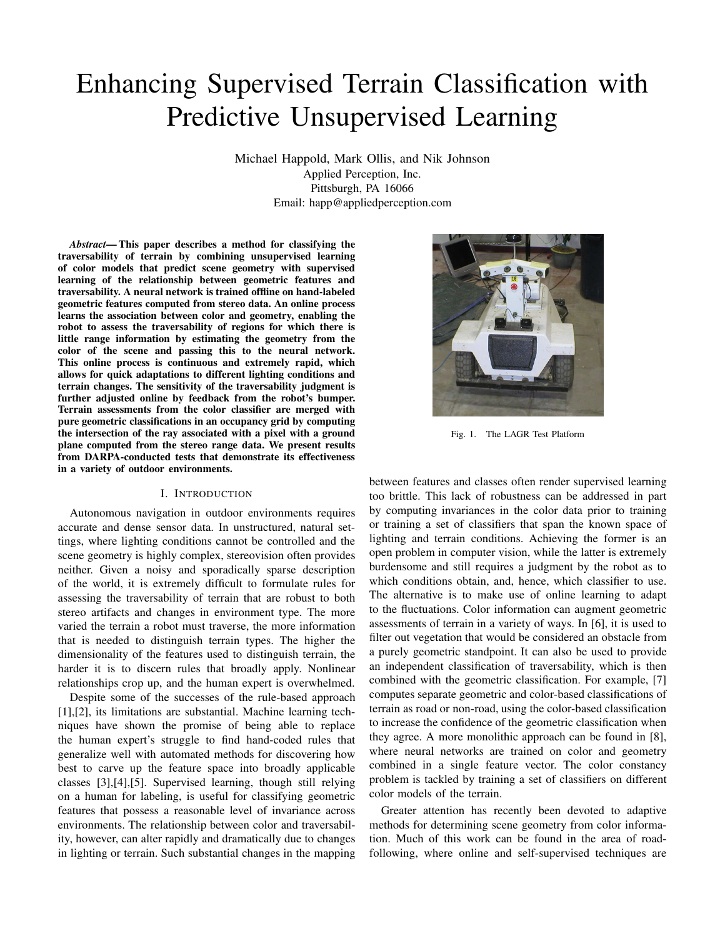# Enhancing Supervised Terrain Classification with Predictive Unsupervised Learning

Michael Happold, Mark Ollis, and Nik Johnson Applied Perception, Inc. Pittsburgh, PA 16066 Email: happ@appliedperception.com

*Abstract*— This paper describes a method for classifying the traversability of terrain by combining unsupervised learning of color models that predict scene geometry with supervised learning of the relationship between geometric features and traversability. A neural network is trained offline on hand-labeled geometric features computed from stereo data. An online process learns the association between color and geometry, enabling the robot to assess the traversability of regions for which there is little range information by estimating the geometry from the color of the scene and passing this to the neural network. This online process is continuous and extremely rapid, which allows for quick adaptations to different lighting conditions and terrain changes. The sensitivity of the traversability judgment is further adjusted online by feedback from the robot's bumper. Terrain assessments from the color classifier are merged with pure geometric classifications in an occupancy grid by computing the intersection of the ray associated with a pixel with a ground plane computed from the stereo range data. We present results from DARPA-conducted tests that demonstrate its effectiveness in a variety of outdoor environments.

#### I. INTRODUCTION

Autonomous navigation in outdoor environments requires accurate and dense sensor data. In unstructured, natural settings, where lighting conditions cannot be controlled and the scene geometry is highly complex, stereovision often provides neither. Given a noisy and sporadically sparse description of the world, it is extremely difficult to formulate rules for assessing the traversability of terrain that are robust to both stereo artifacts and changes in environment type. The more varied the terrain a robot must traverse, the more information that is needed to distinguish terrain types. The higher the dimensionality of the features used to distinguish terrain, the harder it is to discern rules that broadly apply. Nonlinear relationships crop up, and the human expert is overwhelmed.

Despite some of the successes of the rule-based approach [1], [2], its limitations are substantial. Machine learning techniques have shown the promise of being able to replace the human expert's struggle to find hand-coded rules that generalize well with automated methods for discovering how best to carve up the feature space into broadly applicable classes [3],[4],[5]. Supervised learning, though still relying on a human for labeling, is useful for classifying geometric features that possess a reasonable level of invariance across environments. The relationship between color and traversability, however, can alter rapidly and dramatically due to changes in lighting or terrain. Such substantial changes in the mapping



Fig. 1. The LAGR Test Platform

between features and classes often render supervised learning too brittle. This lack of robustness can be addressed in part by computing invariances in the color data prior to training or training a set of classifiers that span the known space of lighting and terrain conditions. Achieving the former is an open problem in computer vision, while the latter is extremely burdensome and still requires a judgment by the robot as to which conditions obtain, and, hence, which classifier to use. The alternative is to make use of online learning to adapt to the fluctuations. Color information can augment geometric assessments of terrain in a variety of ways. In [6], it is used to filter out vegetation that would be considered an obstacle from a purely geometric standpoint. It can also be used to provide an independent classification of traversability, which is then combined with the geometric classification. For example, [7] computes separate geometric and color-based classifications of terrain as road or non-road, using the color-based classification to increase the confidence of the geometric classification when they agree. A more monolithic approach can be found in [8], where neural networks are trained on color and geometry combined in a single feature vector. The color constancy problem is tackled by training a set of classifiers on different color models of the terrain.

Greater attention has recently been devoted to adaptive methods for determining scene geometry from color information. Much of this work can be found in the area of roadfollowing, where online and self-supervised techniques are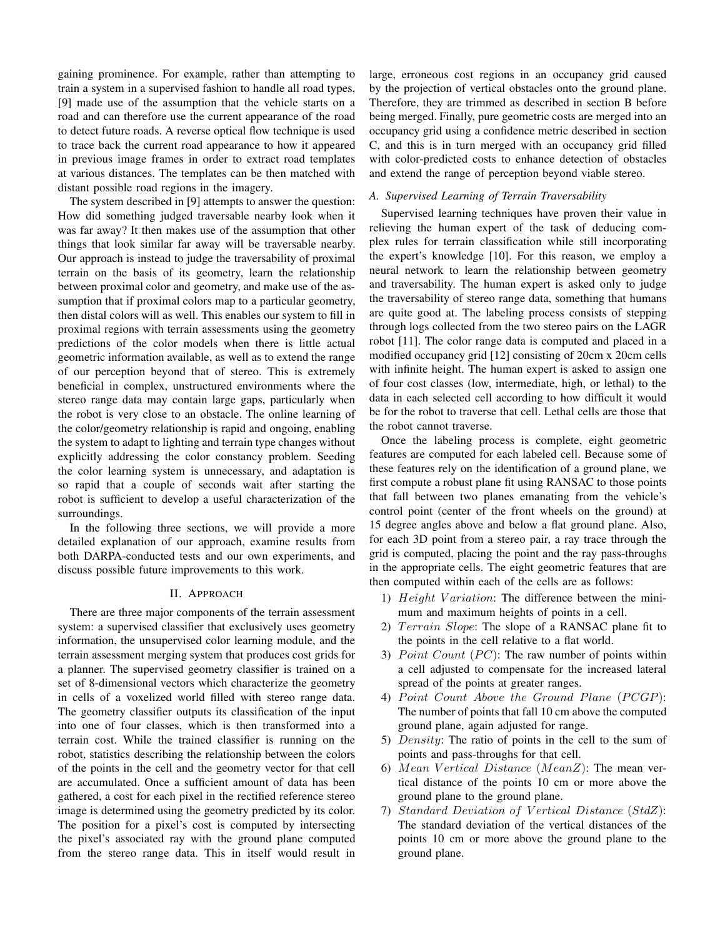gaining prominence. For example, rather than attempting to train a system in a supervised fashion to handle all road types, [9] made use of the assumption that the vehicle starts on a road and can therefore use the current appearance of the road to detect future roads. A reverse optical flow technique is used to trace back the current road appearance to how it appeared in previous image frames in order to extract road templates at various distances. The templates can be then matched with distant possible road regions in the imagery.

The system described in [9] attempts to answer the question: How did something judged traversable nearby look when it was far away? It then makes use of the assumption that other things that look similar far away will be traversable nearby. Our approach is instead to judge the traversability of proximal terrain on the basis of its geometry, learn the relationship between proximal color and geometry, and make use of the assumption that if proximal colors map to a particular geometry, then distal colors will as well. This enables our system to fill in proximal regions with terrain assessments using the geometry predictions of the color models when there is little actual geometric information available, as well as to extend the range of our perception beyond that of stereo. This is extremely beneficial in complex, unstructured environments where the stereo range data may contain large gaps, particularly when the robot is very close to an obstacle. The online learning of the color/geometry relationship is rapid and ongoing, enabling the system to adapt to lighting and terrain type changes without explicitly addressing the color constancy problem. Seeding the color learning system is unnecessary, and adaptation is so rapid that a couple of seconds wait after starting the robot is sufficient to develop a useful characterization of the surroundings.

In the following three sections, we will provide a more detailed explanation of our approach, examine results from both DARPA-conducted tests and our own experiments, and discuss possible future improvements to this work.

## II. APPROACH

There are three major components of the terrain assessment system: a supervised classifier that exclusively uses geometry information, the unsupervised color learning module, and the terrain assessment merging system that produces cost grids for a planner. The supervised geometry classifier is trained on a set of 8-dimensional vectors which characterize the geometry in cells of a voxelized world filled with stereo range data. The geometry classifier outputs its classification of the input into one of four classes, which is then transformed into a terrain cost. While the trained classifier is running on the robot, statistics describing the relationship between the colors of the points in the cell and the geometry vector for that cell are accumulated. Once a sufficient amount of data has been gathered, a cost for each pixel in the rectified reference stereo image is determined using the geometry predicted by its color. The position for a pixel's cost is computed by intersecting the pixel's associated ray with the ground plane computed from the stereo range data. This in itself would result in

large, erroneous cost regions in an occupancy grid caused by the projection of vertical obstacles onto the ground plane. Therefore, they are trimmed as described in section B before being merged. Finally, pure geometric costs are merged into an occupancy grid using a confidence metric described in section C, and this is in turn merged with an occupancy grid filled with color-predicted costs to enhance detection of obstacles and extend the range of perception beyond viable stereo.

## *A. Supervised Learning of Terrain Traversability*

Supervised learning techniques have proven their value in relieving the human expert of the task of deducing complex rules for terrain classification while still incorporating the expert's knowledge [10]. For this reason, we employ a neural network to learn the relationship between geometry and traversability. The human expert is asked only to judge the traversability of stereo range data, something that humans are quite good at. The labeling process consists of stepping through logs collected from the two stereo pairs on the LAGR robot [11]. The color range data is computed and placed in a modified occupancy grid [12] consisting of 20cm x 20cm cells with infinite height. The human expert is asked to assign one of four cost classes (low, intermediate, high, or lethal) to the data in each selected cell according to how difficult it would be for the robot to traverse that cell. Lethal cells are those that the robot cannot traverse.

Once the labeling process is complete, eight geometric features are computed for each labeled cell. Because some of these features rely on the identification of a ground plane, we first compute a robust plane fit using RANSAC to those points that fall between two planes emanating from the vehicle's control point (center of the front wheels on the ground) at 15 degree angles above and below a flat ground plane. Also, for each 3D point from a stereo pair, a ray trace through the grid is computed, placing the point and the ray pass-throughs in the appropriate cells. The eight geometric features that are then computed within each of the cells are as follows:

- 1) Height Variation: The difference between the minimum and maximum heights of points in a cell.
- 2) Terrain Slope: The slope of a RANSAC plane fit to the points in the cell relative to a flat world.
- 3) *Point Count (PC)*: The raw number of points within a cell adjusted to compensate for the increased lateral spread of the points at greater ranges.
- 4) Point Count Above the Ground Plane (PCGP): The number of points that fall 10 cm above the computed ground plane, again adjusted for range.
- 5) Density: The ratio of points in the cell to the sum of points and pass-throughs for that cell.
- 6) Mean Vertical Distance (MeanZ): The mean vertical distance of the points 10 cm or more above the ground plane to the ground plane.
- 7) Standard Deviation of Vertical Distance (StdZ): The standard deviation of the vertical distances of the points 10 cm or more above the ground plane to the ground plane.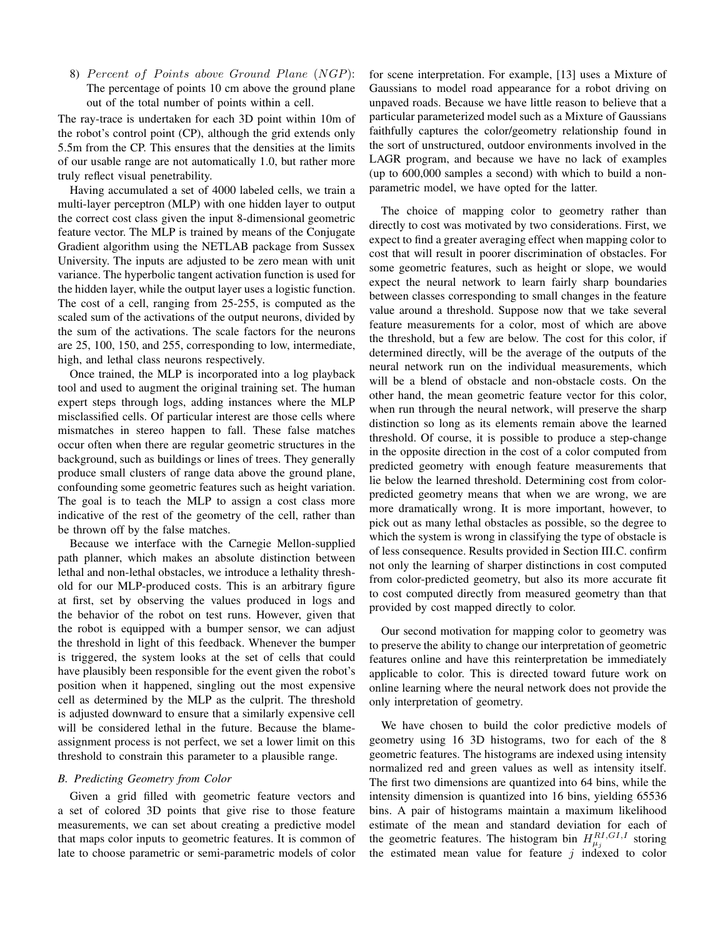8) Percent of Points above Ground Plane (NGP): The percentage of points 10 cm above the ground plane out of the total number of points within a cell.

The ray-trace is undertaken for each 3D point within 10m of the robot's control point (CP), although the grid extends only 5.5m from the CP. This ensures that the densities at the limits of our usable range are not automatically 1.0, but rather more truly reflect visual penetrability.

Having accumulated a set of 4000 labeled cells, we train a multi-layer perceptron (MLP) with one hidden layer to output the correct cost class given the input 8-dimensional geometric feature vector. The MLP is trained by means of the Conjugate Gradient algorithm using the NETLAB package from Sussex University. The inputs are adjusted to be zero mean with unit variance. The hyperbolic tangent activation function is used for the hidden layer, while the output layer uses a logistic function. The cost of a cell, ranging from 25-255, is computed as the scaled sum of the activations of the output neurons, divided by the sum of the activations. The scale factors for the neurons are 25, 100, 150, and 255, corresponding to low, intermediate, high, and lethal class neurons respectively.

Once trained, the MLP is incorporated into a log playback tool and used to augment the original training set. The human expert steps through logs, adding instances where the MLP misclassified cells. Of particular interest are those cells where mismatches in stereo happen to fall. These false matches occur often when there are regular geometric structures in the background, such as buildings or lines of trees. They generally produce small clusters of range data above the ground plane, confounding some geometric features such as height variation. The goal is to teach the MLP to assign a cost class more indicative of the rest of the geometry of the cell, rather than be thrown off by the false matches.

Because we interface with the Carnegie Mellon-supplied path planner, which makes an absolute distinction between lethal and non-lethal obstacles, we introduce a lethality threshold for our MLP-produced costs. This is an arbitrary figure at first, set by observing the values produced in logs and the behavior of the robot on test runs. However, given that the robot is equipped with a bumper sensor, we can adjust the threshold in light of this feedback. Whenever the bumper is triggered, the system looks at the set of cells that could have plausibly been responsible for the event given the robot's position when it happened, singling out the most expensive cell as determined by the MLP as the culprit. The threshold is adjusted downward to ensure that a similarly expensive cell will be considered lethal in the future. Because the blameassignment process is not perfect, we set a lower limit on this threshold to constrain this parameter to a plausible range.

#### *B. Predicting Geometry from Color*

Given a grid filled with geometric feature vectors and a set of colored 3D points that give rise to those feature measurements, we can set about creating a predictive model that maps color inputs to geometric features. It is common of late to choose parametric or semi-parametric models of color

for scene interpretation. For example, [13] uses a Mixture of Gaussians to model road appearance for a robot driving on unpaved roads. Because we have little reason to believe that a particular parameterized model such as a Mixture of Gaussians faithfully captures the color/geometry relationship found in the sort of unstructured, outdoor environments involved in the LAGR program, and because we have no lack of examples (up to 600,000 samples a second) with which to build a nonparametric model, we have opted for the latter.

The choice of mapping color to geometry rather than directly to cost was motivated by two considerations. First, we expect to find a greater averaging effect when mapping color to cost that will result in poorer discrimination of obstacles. For some geometric features, such as height or slope, we would expect the neural network to learn fairly sharp boundaries between classes corresponding to small changes in the feature value around a threshold. Suppose now that we take several feature measurements for a color, most of which are above the threshold, but a few are below. The cost for this color, if determined directly, will be the average of the outputs of the neural network run on the individual measurements, which will be a blend of obstacle and non-obstacle costs. On the other hand, the mean geometric feature vector for this color, when run through the neural network, will preserve the sharp distinction so long as its elements remain above the learned threshold. Of course, it is possible to produce a step-change in the opposite direction in the cost of a color computed from predicted geometry with enough feature measurements that lie below the learned threshold. Determining cost from colorpredicted geometry means that when we are wrong, we are more dramatically wrong. It is more important, however, to pick out as many lethal obstacles as possible, so the degree to which the system is wrong in classifying the type of obstacle is of less consequence. Results provided in Section III.C. confirm not only the learning of sharper distinctions in cost computed from color-predicted geometry, but also its more accurate fit to cost computed directly from measured geometry than that provided by cost mapped directly to color.

Our second motivation for mapping color to geometry was to preserve the ability to change our interpretation of geometric features online and have this reinterpretation be immediately applicable to color. This is directed toward future work on online learning where the neural network does not provide the only interpretation of geometry.

We have chosen to build the color predictive models of geometry using 16 3D histograms, two for each of the 8 geometric features. The histograms are indexed using intensity normalized red and green values as well as intensity itself. The first two dimensions are quantized into 64 bins, while the intensity dimension is quantized into 16 bins, yielding 65536 bins. A pair of histograms maintain a maximum likelihood estimate of the mean and standard deviation for each of the geometric features. The histogram bin  $H_{\mu_j}^{RI,GI,I}$  storing the estimated mean value for feature  $j$  indexed to color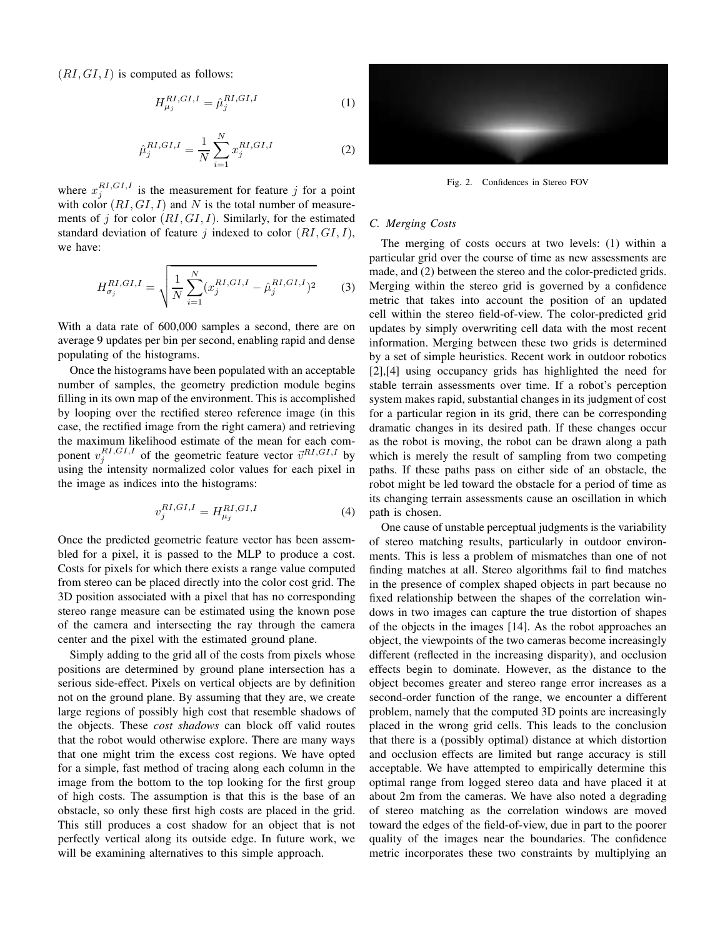$(RI, GI, I)$  is computed as follows:

$$
H_{\mu_j}^{RI,GI,I} = \hat{\mu}_j^{RI,GI,I} \tag{1}
$$

$$
\hat{\mu}_j^{RI,GI,I} = \frac{1}{N} \sum_{i=1}^{N} x_j^{RI,GI,I}
$$
\n(2)

where  $x_j^{RI,GI,I}$  is the measurement for feature j for a point with color  $(RI, GI, I)$  and N is the total number of measurements of j for color  $(RI, GI, I)$ . Similarly, for the estimated standard deviation of feature j indexed to color  $(RI, GI, I)$ , we have:

$$
H_{\sigma_j}^{RI,GI,I} = \sqrt{\frac{1}{N} \sum_{i=1}^{N} (x_j^{RI,GI,I} - \hat{\mu}_j^{RI,GI,I})^2}
$$
 (3)

With a data rate of 600,000 samples a second, there are on average 9 updates per bin per second, enabling rapid and dense populating of the histograms.

Once the histograms have been populated with an acceptable number of samples, the geometry prediction module begins filling in its own map of the environment. This is accomplished by looping over the rectified stereo reference image (in this case, the rectified image from the right camera) and retrieving the maximum likelihood estimate of the mean for each component  $v_j^{RI,GI,I}$  of the geometric feature vector  $\vec{v}^{RI,GI,I}$  by using the intensity normalized color values for each pixel in the image as indices into the histograms:

$$
v_j^{RI,GI,I} = H_{\mu_j}^{RI,GI,I} \tag{4}
$$

Once the predicted geometric feature vector has been assembled for a pixel, it is passed to the MLP to produce a cost. Costs for pixels for which there exists a range value computed from stereo can be placed directly into the color cost grid. The 3D position associated with a pixel that has no corresponding stereo range measure can be estimated using the known pose of the camera and intersecting the ray through the camera center and the pixel with the estimated ground plane.

Simply adding to the grid all of the costs from pixels whose positions are determined by ground plane intersection has a serious side-effect. Pixels on vertical objects are by definition not on the ground plane. By assuming that they are, we create large regions of possibly high cost that resemble shadows of the objects. These *cost shadows* can block off valid routes that the robot would otherwise explore. There are many ways that one might trim the excess cost regions. We have opted for a simple, fast method of tracing along each column in the image from the bottom to the top looking for the first group of high costs. The assumption is that this is the base of an obstacle, so only these first high costs are placed in the grid. This still produces a cost shadow for an object that is not perfectly vertical along its outside edge. In future work, we will be examining alternatives to this simple approach.



Fig. 2. Confidences in Stereo FOV

## *C. Merging Costs*

The merging of costs occurs at two levels: (1) within a particular grid over the course of time as new assessments are made, and (2) between the stereo and the color-predicted grids. Merging within the stereo grid is governed by a confidence metric that takes into account the position of an updated cell within the stereo field-of-view. The color-predicted grid updates by simply overwriting cell data with the most recent information. Merging between these two grids is determined by a set of simple heuristics. Recent work in outdoor robotics [2],[4] using occupancy grids has highlighted the need for stable terrain assessments over time. If a robot's perception system makes rapid, substantial changes in its judgment of cost for a particular region in its grid, there can be corresponding dramatic changes in its desired path. If these changes occur as the robot is moving, the robot can be drawn along a path which is merely the result of sampling from two competing paths. If these paths pass on either side of an obstacle, the robot might be led toward the obstacle for a period of time as its changing terrain assessments cause an oscillation in which path is chosen.

One cause of unstable perceptual judgments is the variability of stereo matching results, particularly in outdoor environments. This is less a problem of mismatches than one of not finding matches at all. Stereo algorithms fail to find matches in the presence of complex shaped objects in part because no fixed relationship between the shapes of the correlation windows in two images can capture the true distortion of shapes of the objects in the images [14]. As the robot approaches an object, the viewpoints of the two cameras become increasingly different (reflected in the increasing disparity), and occlusion effects begin to dominate. However, as the distance to the object becomes greater and stereo range error increases as a second-order function of the range, we encounter a different problem, namely that the computed 3D points are increasingly placed in the wrong grid cells. This leads to the conclusion that there is a (possibly optimal) distance at which distortion and occlusion effects are limited but range accuracy is still acceptable. We have attempted to empirically determine this optimal range from logged stereo data and have placed it at about 2m from the cameras. We have also noted a degrading of stereo matching as the correlation windows are moved toward the edges of the field-of-view, due in part to the poorer quality of the images near the boundaries. The confidence metric incorporates these two constraints by multiplying an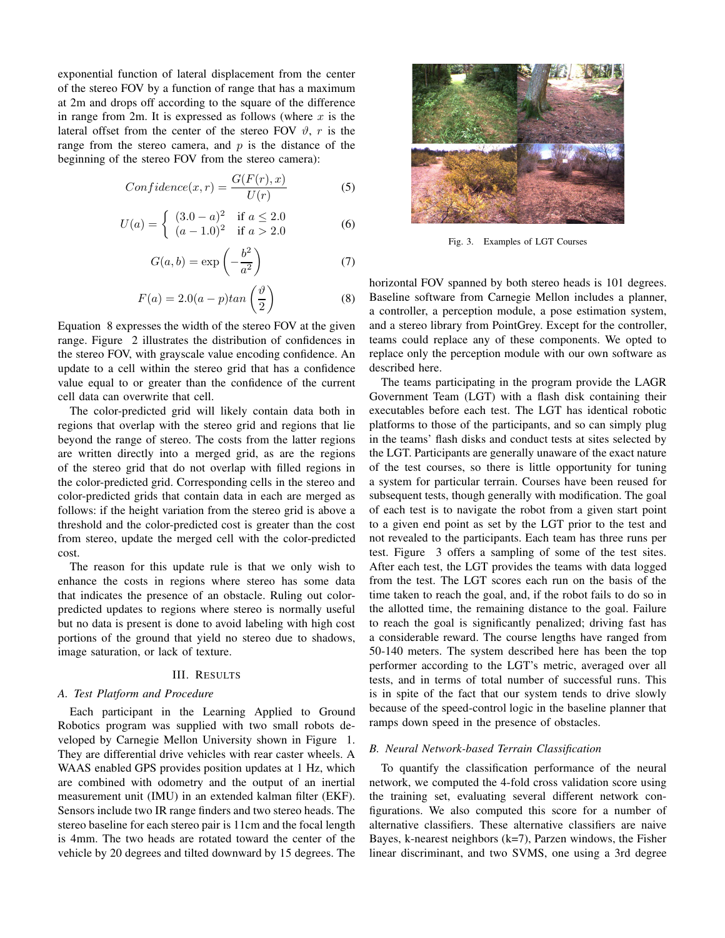exponential function of lateral displacement from the center of the stereo FOV by a function of range that has a maximum at 2m and drops off according to the square of the difference in range from 2m. It is expressed as follows (where  $x$  is the lateral offset from the center of the stereo FOV  $\vartheta$ , r is the range from the stereo camera, and  $p$  is the distance of the beginning of the stereo FOV from the stereo camera):

$$
Confidence(x, r) = \frac{G(F(r), x)}{U(r)}
$$
\n(5)

$$
U(a) = \begin{cases} (3.0 - a)^2 & \text{if } a \le 2.0\\ (a - 1.0)^2 & \text{if } a > 2.0 \end{cases}
$$
 (6)

$$
G(a,b) = \exp\left(-\frac{b^2}{a^2}\right) \tag{7}
$$

$$
F(a) = 2.0(a - p)tan\left(\frac{\vartheta}{2}\right)
$$
 (8)

Equation 8 expresses the width of the stereo FOV at the given range. Figure 2 illustrates the distribution of confidences in the stereo FOV, with grayscale value encoding confidence. An update to a cell within the stereo grid that has a confidence value equal to or greater than the confidence of the current cell data can overwrite that cell.

The color-predicted grid will likely contain data both in regions that overlap with the stereo grid and regions that lie beyond the range of stereo. The costs from the latter regions are written directly into a merged grid, as are the regions of the stereo grid that do not overlap with filled regions in the color-predicted grid. Corresponding cells in the stereo and color-predicted grids that contain data in each are merged as follows: if the height variation from the stereo grid is above a threshold and the color-predicted cost is greater than the cost from stereo, update the merged cell with the color-predicted cost.

The reason for this update rule is that we only wish to enhance the costs in regions where stereo has some data that indicates the presence of an obstacle. Ruling out colorpredicted updates to regions where stereo is normally useful but no data is present is done to avoid labeling with high cost portions of the ground that yield no stereo due to shadows, image saturation, or lack of texture.

#### III. RESULTS

#### *A. Test Platform and Procedure*

Each participant in the Learning Applied to Ground Robotics program was supplied with two small robots developed by Carnegie Mellon University shown in Figure 1. They are differential drive vehicles with rear caster wheels. A WAAS enabled GPS provides position updates at 1 Hz, which are combined with odometry and the output of an inertial measurement unit (IMU) in an extended kalman filter (EKF). Sensors include two IR range finders and two stereo heads. The stereo baseline for each stereo pair is 11cm and the focal length is 4mm. The two heads are rotated toward the center of the vehicle by 20 degrees and tilted downward by 15 degrees. The



Fig. 3. Examples of LGT Courses

horizontal FOV spanned by both stereo heads is 101 degrees. Baseline software from Carnegie Mellon includes a planner, a controller, a perception module, a pose estimation system, and a stereo library from PointGrey. Except for the controller, teams could replace any of these components. We opted to replace only the perception module with our own software as described here.

The teams participating in the program provide the LAGR Government Team (LGT) with a flash disk containing their executables before each test. The LGT has identical robotic platforms to those of the participants, and so can simply plug in the teams' flash disks and conduct tests at sites selected by the LGT. Participants are generally unaware of the exact nature of the test courses, so there is little opportunity for tuning a system for particular terrain. Courses have been reused for subsequent tests, though generally with modification. The goal of each test is to navigate the robot from a given start point to a given end point as set by the LGT prior to the test and not revealed to the participants. Each team has three runs per test. Figure 3 offers a sampling of some of the test sites. After each test, the LGT provides the teams with data logged from the test. The LGT scores each run on the basis of the time taken to reach the goal, and, if the robot fails to do so in the allotted time, the remaining distance to the goal. Failure to reach the goal is significantly penalized; driving fast has a considerable reward. The course lengths have ranged from 50-140 meters. The system described here has been the top performer according to the LGT's metric, averaged over all tests, and in terms of total number of successful runs. This is in spite of the fact that our system tends to drive slowly because of the speed-control logic in the baseline planner that ramps down speed in the presence of obstacles.

#### *B. Neural Network-based Terrain Classification*

To quantify the classification performance of the neural network, we computed the 4-fold cross validation score using the training set, evaluating several different network configurations. We also computed this score for a number of alternative classifiers. These alternative classifiers are naive Bayes, k-nearest neighbors  $(k=7)$ , Parzen windows, the Fisher linear discriminant, and two SVMS, one using a 3rd degree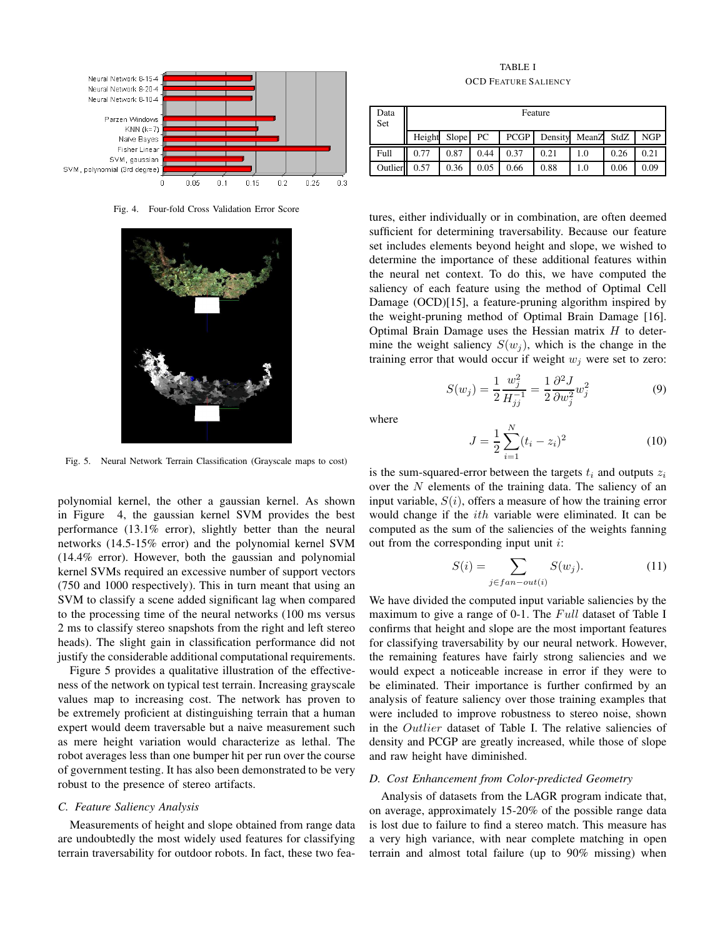

Fig. 4. Four-fold Cross Validation Error Score



Fig. 5. Neural Network Terrain Classification (Grayscale maps to cost)

polynomial kernel, the other a gaussian kernel. As shown in Figure 4, the gaussian kernel SVM provides the best performance (13.1% error), slightly better than the neural networks (14.5-15% error) and the polynomial kernel SVM (14.4% error). However, both the gaussian and polynomial kernel SVMs required an excessive number of support vectors (750 and 1000 respectively). This in turn meant that using an SVM to classify a scene added significant lag when compared to the processing time of the neural networks (100 ms versus 2 ms to classify stereo snapshots from the right and left stereo heads). The slight gain in classification performance did not justify the considerable additional computational requirements.

Figure 5 provides a qualitative illustration of the effectiveness of the network on typical test terrain. Increasing grayscale values map to increasing cost. The network has proven to be extremely proficient at distinguishing terrain that a human expert would deem traversable but a naive measurement such as mere height variation would characterize as lethal. The robot averages less than one bumper hit per run over the course of government testing. It has also been demonstrated to be very robust to the presence of stereo artifacts.

#### *C. Feature Saliency Analysis*

Measurements of height and slope obtained from range data are undoubtedly the most widely used features for classifying terrain traversability for outdoor robots. In fact, these two fea-

TABLE I OCD FEATURE SALIENCY

| Data<br>Set | Feature |       |      |             |         |            |      |            |
|-------------|---------|-------|------|-------------|---------|------------|------|------------|
|             | Height  | Slope | PC   | <b>PCGP</b> | Density | MeanZ StdZ |      | <b>NGP</b> |
| Full        | 0.77    | 0.87  | 0.44 | 0.37        | 0.21    | 1.0        | 0.26 | 0.21       |
| Outlier     | 0.57    | 0.36  | 0.05 | 0.66        | 0.88    | 1.0        | 0.06 | 0.09       |

tures, either individually or in combination, are often deemed sufficient for determining traversability. Because our feature set includes elements beyond height and slope, we wished to determine the importance of these additional features within the neural net context. To do this, we have computed the saliency of each feature using the method of Optimal Cell Damage (OCD)[15], a feature-pruning algorithm inspired by the weight-pruning method of Optimal Brain Damage [16]. Optimal Brain Damage uses the Hessian matrix  $H$  to determine the weight saliency  $S(w_i)$ , which is the change in the training error that would occur if weight  $w_j$  were set to zero:

$$
S(w_j) = \frac{1}{2} \frac{w_j^2}{H_{jj}^{-1}} = \frac{1}{2} \frac{\partial^2 J}{\partial w_j^2} w_j^2
$$
 (9)

where

$$
J = \frac{1}{2} \sum_{i=1}^{N} (t_i - z_i)^2
$$
 (10)

is the sum-squared-error between the targets  $t_i$  and outputs  $z_i$ over the  $N$  elements of the training data. The saliency of an input variable,  $S(i)$ , offers a measure of how the training error would change if the ith variable were eliminated. It can be computed as the sum of the saliencies of the weights fanning out from the corresponding input unit  $i$ :

$$
S(i) = \sum_{j \in fan-out(i)} S(w_j). \tag{11}
$$

We have divided the computed input variable saliencies by the maximum to give a range of 0-1. The  $Full$  dataset of Table I confirms that height and slope are the most important features for classifying traversability by our neural network. However, the remaining features have fairly strong saliencies and we would expect a noticeable increase in error if they were to be eliminated. Their importance is further confirmed by an analysis of feature saliency over those training examples that were included to improve robustness to stereo noise, shown in the Outlier dataset of Table I. The relative saliencies of density and PCGP are greatly increased, while those of slope and raw height have diminished.

#### *D. Cost Enhancement from Color-predicted Geometry*

Analysis of datasets from the LAGR program indicate that, on average, approximately 15-20% of the possible range data is lost due to failure to find a stereo match. This measure has a very high variance, with near complete matching in open terrain and almost total failure (up to 90% missing) when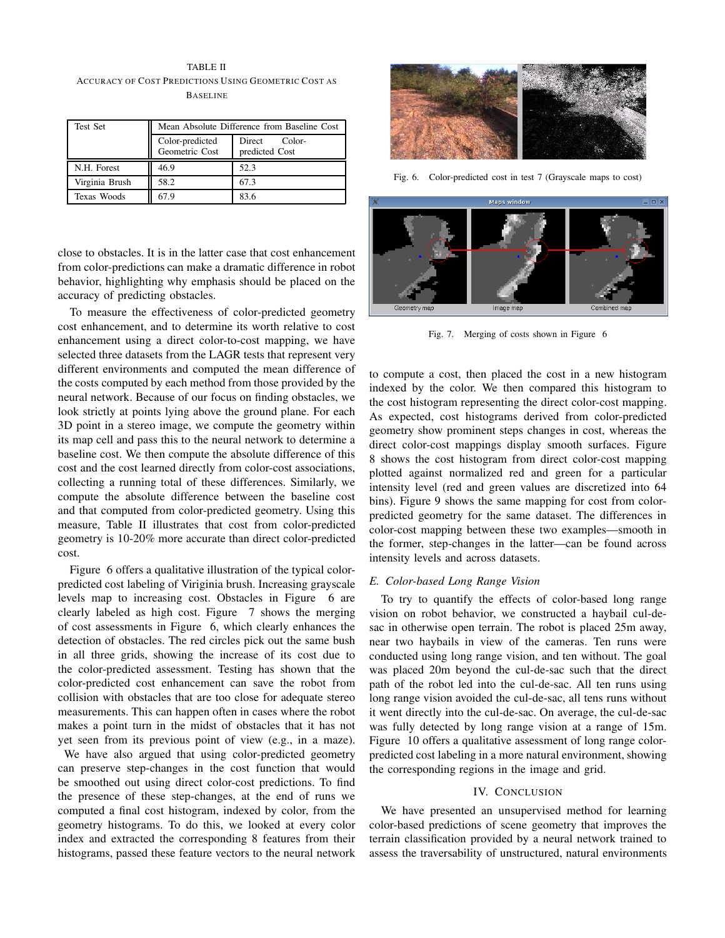## TABLE II ACCURACY OF COST PREDICTIONS USING GEOMETRIC COST AS **BASELINE**

| <b>Test Set</b> | Mean Absolute Difference from Baseline Cost |                                    |  |  |
|-----------------|---------------------------------------------|------------------------------------|--|--|
|                 | Color-predicted<br>Geometric Cost           | Direct<br>Color-<br>predicted Cost |  |  |
| N.H. Forest     | 46.9                                        | 52.3                               |  |  |
| Virginia Brush  | 58.2                                        | 67.3                               |  |  |
| Texas Woods     | 67.9                                        | 83.6                               |  |  |

close to obstacles. It is in the latter case that cost enhancement from color-predictions can make a dramatic difference in robot behavior, highlighting why emphasis should be placed on the accuracy of predicting obstacles.

To measure the effectiveness of color-predicted geometry cost enhancement, and to determine its worth relative to cost enhancement using a direct color-to-cost mapping, we have selected three datasets from the LAGR tests that represent very different environments and computed the mean difference of the costs computed by each method from those provided by the neural network. Because of our focus on finding obstacles, we look strictly at points lying above the ground plane. For each 3D point in a stereo image, we compute the geometry within its map cell and pass this to the neural network to determine a baseline cost. We then compute the absolute difference of this cost and the cost learned directly from color-cost associations, collecting a running total of these differences. Similarly, we compute the absolute difference between the baseline cost and that computed from color-predicted geometry. Using this measure, Table II illustrates that cost from color-predicted geometry is 10-20% more accurate than direct color-predicted cost.

Figure 6 offers a qualitative illustration of the typical colorpredicted cost labeling of Viriginia brush. Increasing grayscale levels map to increasing cost. Obstacles in Figure 6 are clearly labeled as high cost. Figure 7 shows the merging of cost assessments in Figure 6, which clearly enhances the detection of obstacles. The red circles pick out the same bush in all three grids, showing the increase of its cost due to the color-predicted assessment. Testing has shown that the color-predicted cost enhancement can save the robot from collision with obstacles that are too close for adequate stereo measurements. This can happen often in cases where the robot makes a point turn in the midst of obstacles that it has not yet seen from its previous point of view (e.g., in a maze).

We have also argued that using color-predicted geometry can preserve step-changes in the cost function that would be smoothed out using direct color-cost predictions. To find the presence of these step-changes, at the end of runs we computed a final cost histogram, indexed by color, from the geometry histograms. To do this, we looked at every color index and extracted the corresponding 8 features from their histograms, passed these feature vectors to the neural network



Fig. 6. Color-predicted cost in test 7 (Grayscale maps to cost)



Fig. 7. Merging of costs shown in Figure 6

to compute a cost, then placed the cost in a new histogram indexed by the color. We then compared this histogram to the cost histogram representing the direct color-cost mapping. As expected, cost histograms derived from color-predicted geometry show prominent steps changes in cost, whereas the direct color-cost mappings display smooth surfaces. Figure 8 shows the cost histogram from direct color-cost mapping plotted against normalized red and green for a particular intensity level (red and green values are discretized into 64 bins). Figure 9 shows the same mapping for cost from colorpredicted geometry for the same dataset. The differences in color-cost mapping between these two examples—smooth in the former, step-changes in the latter—can be found across intensity levels and across datasets.

#### *E. Color-based Long Range Vision*

To try to quantify the effects of color-based long range vision on robot behavior, we constructed a haybail cul-desac in otherwise open terrain. The robot is placed 25m away, near two haybails in view of the cameras. Ten runs were conducted using long range vision, and ten without. The goal was placed 20m beyond the cul-de-sac such that the direct path of the robot led into the cul-de-sac. All ten runs using long range vision avoided the cul-de-sac, all tens runs without it went directly into the cul-de-sac. On average, the cul-de-sac was fully detected by long range vision at a range of 15m. Figure 10 offers a qualitative assessment of long range colorpredicted cost labeling in a more natural environment, showing the corresponding regions in the image and grid.

### IV. CONCLUSION

We have presented an unsupervised method for learning color-based predictions of scene geometry that improves the terrain classification provided by a neural network trained to assess the traversability of unstructured, natural environments